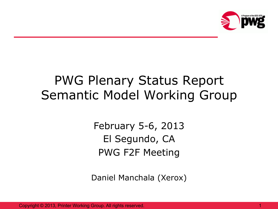

#### PWG Plenary Status Report Semantic Model Working Group

February 5-6, 2013 El Segundo, CA PWG F2F Meeting

Daniel Manchala (Xerox)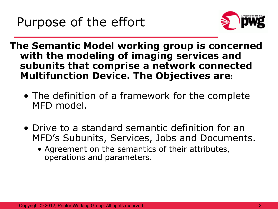

**The Semantic Model working group is concerned with the modeling of imaging services and subunits that comprise a network connected Multifunction Device. The Objectives are:** 

- The definition of a framework for the complete MFD model.
- Drive to a standard semantic definition for an MFD's Subunits, Services, Jobs and Documents.
	- Agreement on the semantics of their attributes, operations and parameters.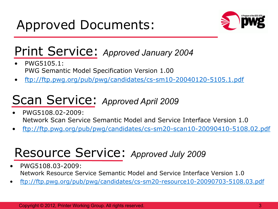

#### Print Service: *Approved January 2004*

- PWG5105.1: PWG Semantic Model Specification Version 1.00
- ftp://ftp.pwg.org/pub/pwg/candidates/cs-sm10-20040120-5105.1.pdf

#### Scan Service: *Approved April 2009*

- PWG5108.02-2009: Network Scan Service Semantic Model and Service Interface Version 1.0
- ftp://ftp.pwg.org/pub/pwg/candidates/cs-sm20-scan10-20090410-5108.02.pdf

## Resource Service: *Approved July 2009*

- PWG5108.03-2009: Network Resource Service Semantic Model and Service Interface Version 1.0
- ftp://ftp.pwg.org/pub/pwg/candidates/cs-sm20-resource10-20090703-5108.03.pdf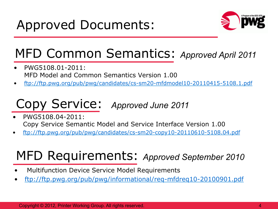

# MFD Common Semantics: *Approved April 2011*

- PWG5108.01-2011: MFD Model and Common Semantics Version 1.00
- ftp://ftp.pwg.org/pub/pwg/candidates/cs-sm20-mfdmodel10-20110415-5108.1.pdf

# Copy Service: *Approved June 2011*

- PWG5108.04-2011: Copy Service Semantic Model and Service Interface Version 1.00
- ftp://ftp.pwg.org/pub/pwg/candidates/cs-sm20-copy10-20110610-5108.04.pdf

# MFD Requirements: *Approved September 2010*

- Multifunction Device Service Model Requirements
- ftp://ftp.pwg.org/pub/pwg/informational/req-mfdreq10-20100901.pdf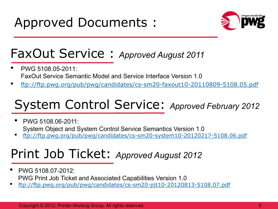

#### FaxOut Service : *Approved August 2011*

- PWG 5108.05-2011: FaxOut Service Semantic Model and Service Interface Version 1.0
- ftp://ftp.pwg.org/pub/pwg/candidates/cs-sm20-faxout10-20110809-5108.05.pdf

## System Control Service: *Approved February 2012*

- PWG 5108.06-2011: System Object and System Control Service Semantics Version 1.0
- ftp://ftp.pwg.org/pub/pwg/candidates/cs-sm20-system10-20120217-5108.06.pdf

### Print Job Ticket: *Approved August 2012*

- PWG 5108.07-2012: PWG Print Job Ticket and Associated Capabilities Version 1.0
- ftp://ftp.pwg.org/pub/pwg/candidates/cs-sm20-pjt10-20120813-5108.07.pdf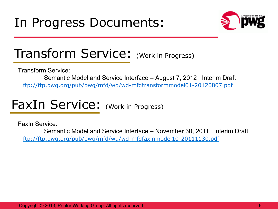

#### Transform Service: (Work in Progress)

Transform Service:

Semantic Model and Service Interface – August 7, 2012 Interim Draft ftp://ftp.pwg.org/pub/pwg/mfd/wd/wd-mfdtransformmodel01-20120807.pdf

FaxIn Service: (Work in Progress)

FaxIn Service:

Semantic Model and Service Interface – November 30, 2011 Interim Draft ftp://ftp.pwg.org/pub/pwg/mfd/wd/wd-mfdfaxinmodel10-20111130.pdf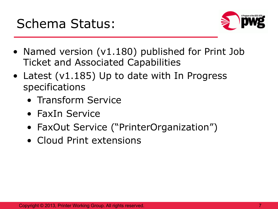



- Named version (v1.180) published for Print Job Ticket and Associated Capabilities
- Latest (v1.185) Up to date with In Progress specifications
	- Transform Service
	- FaxIn Service
	- FaxOut Service ("PrinterOrganization")
	- Cloud Print extensions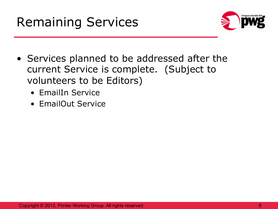



- Services planned to be addressed after the current Service is complete. (Subject to volunteers to be Editors)
	- EmailIn Service
	- EmailOut Service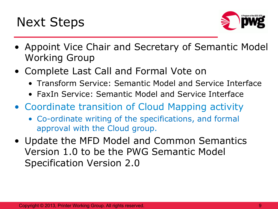



- Appoint Vice Chair and Secretary of Semantic Model Working Group
- Complete Last Call and Formal Vote on
	- Transform Service: Semantic Model and Service Interface
	- FaxIn Service: Semantic Model and Service Interface
- Coordinate transition of Cloud Mapping activity
	- Co-ordinate writing of the specifications, and formal approval with the Cloud group.
- Update the MFD Model and Common Semantics Version 1.0 to be the PWG Semantic Model Specification Version 2.0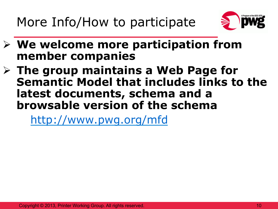More Info/How to participate



- Ø **We welcome more participation from member companies**
- Ø **The group maintains a Web Page for Semantic Model that includes links to the latest documents, schema and a browsable version of the schema**

http://www.pwg.org/mfd